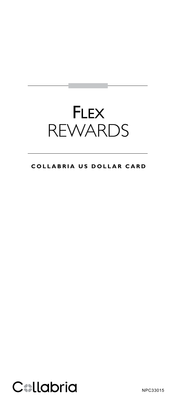# **FLEX** REWARDS

## **COLLABRIA US DOLLAR CARD**



NPC33015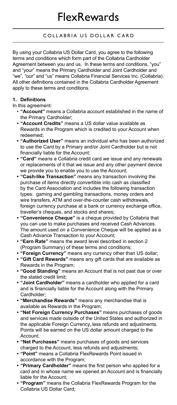By using your Collabria US Dollar Card, you agree to the following terms and conditions which form part of the Collabria Cardholder Agreement between you and us. In these terms and conditions, "you" and "your" means the Primary Cardholder and Joint Cardholder and "we", "our" and "us" means Collabria Financial Services Inc. (Collabria). All other definitions contained in the Collabria Cardholder Agreement apply to these terms and conditions.

## **1. Definitions**

In this agreement:

- **"Account"** means a Collabria account established in the name of the Primary Cardholder;
- **• "Account Credits"** means a US dollar value available as Rewards in the Program which is credited to your Account when redeemed;
- **"Authorized User"** means an individual who has been authorized to use the Card by a Primary and/or Joint Cardholder but is not financially liable for the Account;
- **• "Card"** means a Collabria credit card we issue and any renewals or replacements of it that we issue and any other payment device we provide you to enable you to use the Account;
- **• "Cash-like Transaction"** means any transaction involving the purchase of items directly convertible into cash as classified by the Card Association and includes the following transaction types: gaming and gambling transactions, money orders and wire transfers, ATM and over-the-counter cash withdrawals, foreign currency purchase at a bank or currency exchange office, traveller's cheques, and stocks and shares;
- **• "Convenience Cheque"** is a cheque provided by Collabria that you can use to make purchases and received Cash Advances. The amount used on a Convenience Cheque will be applied as a Cash Advance Transaction to your Account;
- **• "Earn Rate"** means the award level described in section 2 (Program Summary) of these terms and conditions;
- **• "Foreign Currency"** means any currency other than US dollar;
- **• "Gift Card Rewards"** means any gift cards that are available as Rewards in the Program;
- **• "Good Standing"** means an Account that is not past due or over the stated credit limit;
- **"Joint Cardholder"** means a cardholder who applied for a card and is financially liable for the Account along with the Primary Cardholder;
- **• "Merchandise Rewards"** means any merchandise that is available as Rewards in the Program;
- **• "Net Foreign Currency Purchases"** means purchases of goods and services made outside of the United States and authorized in the applicable Foreign Currency, less refunds and adjustments. Points will be earned on the US dollar amount charged to the Account;
- **• "Net Purchases"** means purchases of goods and services charged to the Account, less refunds and adjustments;
- **• "Point"** means a Collabria FlexRewards Point issued in accordance with the Program;
- **"Primary Cardholder"** means the first person who applied for a card and in whose name we opened an Account and is financially liable for the Account;
- **• "Program"** means the Collabria FlexRewards Program for the Collabria US Dollar Card;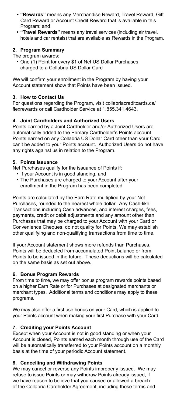- **• "Rewards"** means any Merchandise Reward, Travel Reward, Gift Card Reward or Account Credit Reward that is available in this Program; and
- **• "Travel Rewards"** means any travel services (including air travel, hotels and car rentals) that are available as Rewards in the Program.

## **2. Program Summary**

The program awards:

• One (1) Point for every \$1 of Net US Dollar Purchases charged to a Collabria US Dollar Card

We will confirm your enrollment in the Program by having your Account statement show that Points have been issued.

#### **3. How to Contact Us**

For questions regarding the Program, visit collabriacreditcards.ca/ flexrewards or call Cardholder Service at 1.855.341.4643.

### **4. Joint Cardholders and Authorized Users**

Points earned by a Joint Cardholder and/or Authorized Users are automatically added to the Primary Cardholder's Points account. Points earned on any Collabria US Dollar Card other than your Card can't be added to your Points account. Authorized Users do not have any rights against us in relation to the Program.

#### **5. Points Issuance**

Net Purchases qualify for the issuance of Points if:

- If your Account is in good standing, and
- The Purchases are charged to your Account after your enrollment in the Program has been completed

Points are calculated by the Earn Rate multiplied by your Net Purchases, rounded to the nearest whole dollar. Any Cash-like Transactions including Cash advances, and interest charges, fees, payments, credit or debit adjustments and any amount other than Purchases that may be charged to your Account with your Card or Convenience Cheques, do not quality for Points. We may establish other qualifying and non-qualifying transactions from time to time.

If your Account statement shows more refunds than Purchases, Points will be deducted from accumulated Point balance or from Points to be issued in the future. These deductions will be calculated on the same basis as set out above.

#### **6. Bonus Program Rewards**

From time to time, we may offer bonus program rewards points based on a higher Earn Rate or for Purchases at designated merchants or merchant types. Additional terms and conditions may apply to these programs.

We may also offer a first use bonus on your Card, which is applied to your Points account when making your first Purchase with your Card.

## **7. Crediting your Points Account**

Except when your Account is not in good standing or when your Account is closed, Points earned each month through use of the Card will be automatically transferred to your Points account on a monthly basis at the time of your periodic Account statement.

#### **8. Cancelling and Withdrawing Points**

We may cancel or reverse any Points improperly issued. We may refuse to issue Points or may withdraw Points already issued, if we have reason to believe that you caused or allowed a breach of the Collabria Cardholder Agreement, including these terms and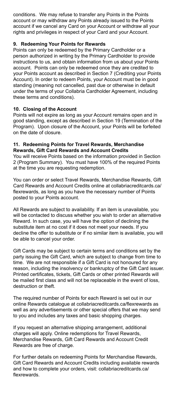conditions. We may refuse to transfer any Points in the Points account or may withdraw any Points already issued to the Points account if we cancel any Card on your Account or withdraw all your rights and privileges in respect of your Card and your Account.

#### **9. Redeeming Your Points for Rewards**

Points can only be redeemed by the Primary Cardholder or a person authorized in writing by the Primary Cardholder to provide instructions to us, and obtain information from us about your Points account. Points can only be redeemed once they are credited to your Points account as described in Section 7 (Crediting your Points Account). In order to redeem Points, your Account must be in good standing (meaning not cancelled, past due or otherwise in default under the terms of your Collabria Cardholder Agreement, including these terms and conditions).

#### **10. Closing of the Account**

Points will not expire as long as your Account remains open and in good standing, except as described in Section 19 (Termination of the Program). Upon closure of the Account, your Points will be forfeited on the date of closure.

#### **11. Redeeming Points for Travel Rewards, Merchandise Rewards, Gift Card Rewards and Account Credits**

You will receive Points based on the information provided in Section 2 (Program Summary). You must have 100% of the required Points at the time you are requesting redemption.

You can order or select Travel Rewards, Merchandise Rewards, Gift Card Rewards and Account Credits online at collabriacreditcards.ca/ flexrewards, as long as you have the necessary number of Points posted to your Points account.

All Rewards are subject to availability. If an item is unavailable, you will be contacted to discuss whether you wish to order an alternative Reward. In such case, you will have the option of declining the substitute item at no cost if it does not meet your needs. If you decline the offer to substitute or if no similar item is available, you will be able to cancel your order.

Gift Cards may be subject to certain terms and conditions set by the party issuing the Gift Card, which are subject to change from time to time. We are not responsible if a Gift Card is not honoured for any reason, including the insolvency or bankruptcy of the Gift Card issuer. Printed certificates, tickets, Gift Cards or other printed Rewards will be mailed first class and will not be replaceable in the event of loss, destruction or theft.

The required number of Points for each Reward is set out in our online Rewards catalogue at collabriacreditcards.ca/flexrewards as well as any advertisements or other special offers that we may send to you and includes any taxes and basic shopping charges.

If you request an alternative shipping arrangement, additional charges will apply. Online redemptions for Travel Rewards, Merchandise Rewards, Gift Card Rewards and Account Credit Rewards are free of charge.

For further details on redeeming Points for Merchandise Rewards, Gift Card Rewards and Account Credits including available rewards and how to complete your orders, visit: collabriacreditcards.ca/ flexrewards.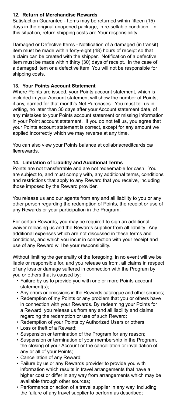## **12. Return of Merchandise Rewards**

Satisfaction Guarantee - Items may be returned within fifteen (15) days in the original unopened package, in re-sellable condition. In this situation, return shipping costs are Your responsibility.

Damaged or Defective Items - Notification of a damaged (in transit) item must be made within forty-eight (48) hours of receipt so that a claim can be created with the shipper. Notification of a defective item must be made within thirty (30) days of receipt. In the case of a damaged item or a defective item, You will not be responsible for shipping costs.

## **13. Your Points Account Statement**

Where Points are issued, your Points account statement, which is included in your Account statement will show the number of Points, if any, earned for that month's Net Purchases. You must tell us in writing, no later than 30 days after your Account statement date, of any mistakes to your Points account statement or missing information in your Point account statement. If you do not tell us, you agree that your Points account statement is correct, except for any amount we applied incorrectly which we may reverse at any time.

You can also view your Points balance at collabriacreditcards.ca/ flexrewards.

## **14. Limitation of Liability and Additional Terms**

Points are not transferrable and are not redeemable for cash. You are subject to, and must comply with, any additional terms, conditions and restrictions that apply to any Reward that you receive, including those imposed by the Reward provider.

You release us and our agents from any and all liability to you or any other person regarding the redemption of Points, the receipt or use of any Rewards or your participation in the Program.

For certain Rewards, you may be required to sign an additional waiver releasing us and the Rewards supplier from all liability. Any additional expenses which are not discussed in these terms and conditions, and which you incur in connection with your receipt and use of any Reward will be your responsibility.

Without limiting the generality of the foregoing, in no event will we be liable or responsible for, and you release us from, all claims in respect of any loss or damage suffered in connection with the Program by you or others that is caused by:

- Failure by us to provide you with one or more Points account statement(s);
- Any errors or omissions in the Rewards catalogue and other sources;
- Redemption of my Points or any problem that you or others have in connection with your Rewards. By redeeming your Points for a Reward, you release us from any and all liability and claims regarding the redemption or use of such Reward;
- Redemption of your Points by Authorized Users or others;
- Loss or theft of a Reward;
- Suspension or termination of the Program for any reason;
- Suspension or termination of your membership in the Program, the closing of your Account or the cancellation or invalidation of any or all of your Points;
- Cancellation of any Reward;
- Failure by us or any Rewards provider to provide you with information which results in travel arrangements that have a higher cost or differ in any way from arrangements which may be available through other sources;
- Performance or action of a travel supplier in any way, including the failure of any travel supplier to perform as described;